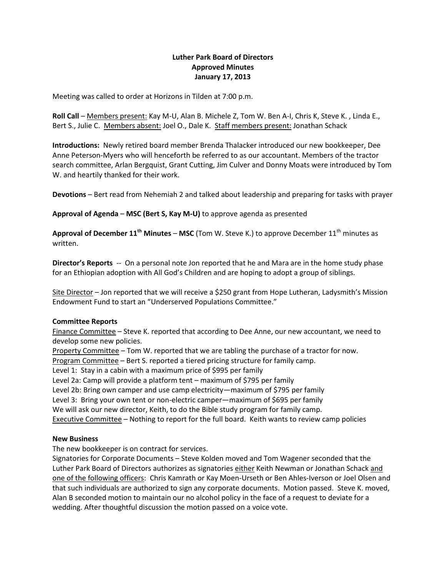## **Luther Park Board of Directors Approved Minutes January 17, 2013**

Meeting was called to order at Horizons in Tilden at 7:00 p.m.

**Roll Call** – Members present: Kay M-U, Alan B. Michele Z, Tom W. Ben A-I, Chris K, Steve K. , Linda E., Bert S., Julie C. Members absent: Joel O., Dale K. Staff members present: Jonathan Schack

**Introductions:** Newly retired board member Brenda Thalacker introduced our new bookkeeper, Dee Anne Peterson-Myers who will henceforth be referred to as our accountant. Members of the tractor search committee, Arlan Bergquist, Grant Cutting, Jim Culver and Donny Moats were introduced by Tom W. and heartily thanked for their work.

**Devotions** – Bert read from Nehemiah 2 and talked about leadership and preparing for tasks with prayer

**Approval of Agenda** – **MSC (Bert S, Kay M-U)** to approve agenda as presented

**Approval of December 11<sup>th</sup> Minutes – MSC** (Tom W. Steve K.) to approve December 11<sup>th</sup> minutes as written.

**Director's Reports** -- On a personal note Jon reported that he and Mara are in the home study phase for an Ethiopian adoption with All God's Children and are hoping to adopt a group of siblings.

Site Director - Jon reported that we will receive a \$250 grant from Hope Lutheran, Ladysmith's Mission Endowment Fund to start an "Underserved Populations Committee."

### **Committee Reports**

Finance Committee – Steve K. reported that according to Dee Anne, our new accountant, we need to develop some new policies.

Property Committee – Tom W. reported that we are tabling the purchase of a tractor for now.

Program Committee – Bert S. reported a tiered pricing structure for family camp.

Level 1: Stay in a cabin with a maximum price of \$995 per family

Level 2a: Camp will provide a platform tent – maximum of \$795 per family

Level 2b: Bring own camper and use camp electricity—maximum of \$795 per family

Level 3: Bring your own tent or non-electric camper—maximum of \$695 per family

We will ask our new director, Keith, to do the Bible study program for family camp.

Executive Committee – Nothing to report for the full board. Keith wants to review camp policies

### **New Business**

The new bookkeeper is on contract for services.

Signatories for Corporate Documents – Steve Kolden moved and Tom Wagener seconded that the Luther Park Board of Directors authorizes as signatories either Keith Newman or Jonathan Schack and one of the following officers: Chris Kamrath or Kay Moen-Urseth or Ben Ahles-Iverson or Joel Olsen and that such individuals are authorized to sign any corporate documents. Motion passed. Steve K. moved, Alan B seconded motion to maintain our no alcohol policy in the face of a request to deviate for a wedding. After thoughtful discussion the motion passed on a voice vote.